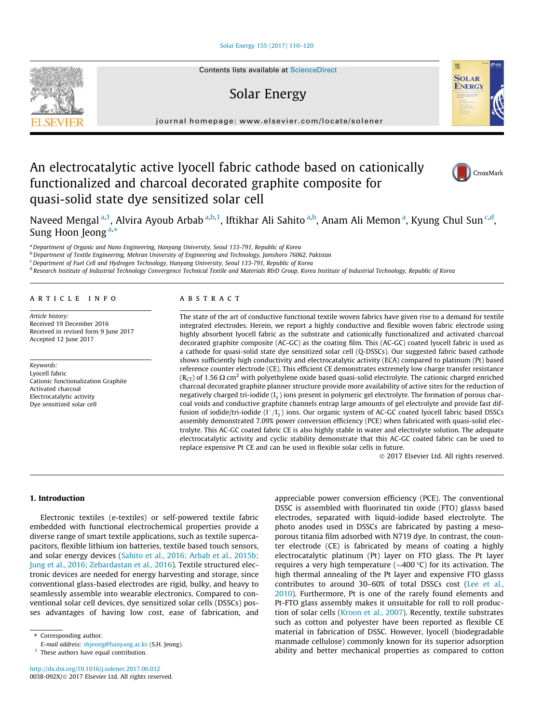#### [Solar Energy 155 \(2017\) 110–120](http://dx.doi.org/10.1016/j.solener.2017.06.032)



# Solar Energy



journal homepage: [www.elsevier.com/locate/solener](http://www.elsevier.com/locate/solener)

# An electrocatalytic active lyocell fabric cathode based on cationically functionalized and charcoal decorated graphite composite for quasi-solid state dye sensitized solar cell



Naveed Mengal <sup>a,1</sup>, Alvira Ayoub Arbab <sup>a,b,1</sup>, Iftikhar Ali Sahito <sup>a,b</sup>, Anam Ali Memon <sup>a</sup>, Kyung Chul Sun <sup>c,d</sup>, Sung Hoon Jeong  $a,*$ 

a Department of Organic and Nano Engineering, Hanyang University, Seoul 133-791, Republic of Korea

b Department of Textile Engineering, Mehran University of Engineering and Technology, Jamshoro 76062, Pakistan

<sup>c</sup> Department of Fuel Cell and Hydrogen Technology, Hanyang University, Seoul 133-791, Republic of Korea

<sup>d</sup> Research Institute of Industrial Technology Convergence Technical Textile and Materials R&D Group, Korea Institute of Industrial Technology, Republic of Korea

### article info

Article history: Received 19 December 2016 Received in revised form 9 June 2017 Accepted 12 June 2017

Keywords: Lyocell fabric Cationic functionalization Graphite Activated charcoal Electrocatalytic activity Dye sensitized solar cell

# ABSTRACT

The state of the art of conductive functional textile woven fabrics have given rise to a demand for textile integrated electrodes. Herein, we report a highly conductive and flexible woven fabric electrode using highly absorbent lyocell fabric as the substrate and cationically functionalized and activated charcoal decorated graphite composite (AC-GC) as the coating film. This (AC-GC) coated lyocell fabric is used as a cathode for quasi-solid state dye sensitized solar cell (Q-DSSCs). Our suggested fabric based cathode shows sufficiently high conductivity and electrocatalytic activity (ECA) compared to platinum (Pt) based reference counter electrode (CE). This efficient CE demonstrates extremely low charge transfer resistance ( $R_{CT}$ ) of 1.56  $\Omega$  cm<sup>2</sup> with polyethylene oxide based quasi-solid electrolyte. The cationic charged enriched charcoal decorated graphite planner structure provide more availability of active sites for the reduction of negatively charged tri-iodide  $(I_3^-)$  ions present in polymeric gel electrolyte. The formation of porous charcoal voids and conductive graphite channels entrap large amounts of gel electrolyte and provide fast diffusion of iodide/tri-iodide  $(I^-/I_3^-)$  ions. Our organic system of AC-GC coated lyocell fabric based DSSCs assembly demonstrated 7.09% power conversion efficiency (PCE) when fabricated with quasi-solid electrolyte. This AC-GC coated fabric CE is also highly stable in water and electrolyte solution. The adequate electrocatalytic activity and cyclic stability demonstrate that this AC-GC coated fabric can be used to replace expensive Pt CE and can be used in flexible solar cells in future.

2017 Elsevier Ltd. All rights reserved.

## 1. Introduction

Electronic textiles (e-textiles) or self-powered textile fabric embedded with functional electrochemical properties provide a diverse range of smart textile applications, such as textile supercapacitors, flexible lithium ion batteries, textile based touch sensors, and solar energy devices [\(Sahito et al., 2016; Arbab et al., 2015b;](#page--1-0) [Jung et al., 2016; Zebardastan et al., 2016\)](#page--1-0). Textile structured electronic devices are needed for energy harvesting and storage, since conventional glass-based electrodes are rigid, bulky, and heavy to seamlessly assemble into wearable electronics. Compared to conventional solar cell devices, dye sensitized solar cells (DSSCs) posses advantages of having low cost, ease of fabrication, and

⇑ Corresponding author.

appreciable power conversion efficiency (PCE). The conventional DSSC is assembled with fluorinated tin oxide (FTO) glasss based electrodes, separated with liquid-iodide based electrolyte. The photo anodes used in DSSCs are fabricated by pasting a mesoporous titania film adsorbed with N719 dye. In contrast, the counter electrode (CE) is fabricated by means of coating a highly electrocatalytic platinum (Pt) layer on FTO glass. The Pt layer requires a very high temperature ( $\sim$ 400 °C) for its activation. The high thermal annealing of the Pt layer and expensive FTO glasss contributes to around 30–60% of total DSSCs cost ([Lee et al.,](#page--1-0) [2010\)](#page--1-0). Furthermore, Pt is one of the rarely found elements and Pt-FTO glass assembly makes it unsuitable for roll to roll production of solar cells ([Kroon et al., 2007](#page--1-0)). Recently, textile substrates such as cotton and polyester have been reported as flexible CE material in fabrication of DSSC. However, lyocell (biodegradable manmade cellulose) commonly known for its superior adsorption ability and better mechanical properties as compared to cotton

E-mail address: [shjeong@hanyang.ac.kr](mailto:shjeong@hanyang.ac.kr) (S.H. Jeong).

<sup>&</sup>lt;sup>1</sup> These authors have equal contribution.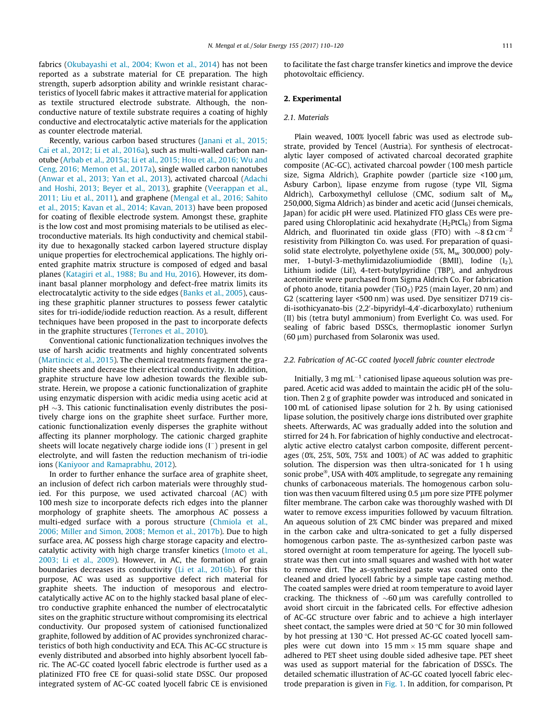fabrics ([Okubayashi et al., 2004; Kwon et al., 2014\)](#page--1-0) has not been reported as a substrate material for CE preparation. The high strength, superb adsorption ability and wrinkle resistant characteristics of lyocell fabric makes it attractive material for application as textile structured electrode substrate. Although, the nonconductive nature of textile substrate requires a coating of highly conductive and electrocatalytic active materials for the application as counter electrode material.

Recently, various carbon based structures ([Janani et al., 2015;](#page--1-0) [Cai et al., 2012; Li et al., 2016a\)](#page--1-0), such as multi-walled carbon nanotube [\(Arbab et al., 2015a; Li et al., 2015; Hou et al., 2016; Wu and](#page--1-0) [Ceng, 2016; Memon et al., 2017a\)](#page--1-0), single walled carbon nanotubes ([Anwar et al., 2013; Yan et al., 2013\)](#page--1-0), activated charcoal ([Adachi](#page--1-0) [and Hoshi, 2013; Beyer et al., 2013\)](#page--1-0), graphite [\(Veerappan et al.,](#page--1-0) [2011; Liu et al., 2011](#page--1-0)), and graphene [\(Mengal et al., 2016; Sahito](#page--1-0) [et al., 2015; Kavan et al., 2014; Kavan, 2013](#page--1-0)) have been proposed for coating of flexible electrode system. Amongst these, graphite is the low cost and most promising materials to be utilised as electroconductive materials. Its high conductivity and chemical stability due to hexagonally stacked carbon layered structure display unique properties for electrochemical applications. The highly oriented graphite matrix structure is composed of edged and basal planes ([Katagiri et al., 1988; Bu and Hu, 2016\)](#page--1-0). However, its dominant basal planner morphology and defect-free matrix limits its electrocatalytic activity to the side edges ([Banks et al., 2005\)](#page--1-0), causing these graphitic planner structures to possess fewer catalytic sites for tri-iodide/iodide reduction reaction. As a result, different techniques have been proposed in the past to incorporate defects in the graphite structures ([Terrones et al., 2010](#page--1-0)).

Conventional cationic functionalization techniques involves the use of harsh acidic treatments and highly concentrated solvents ([Martincic et al., 2015\)](#page--1-0). The chemical treatments fragment the graphite sheets and decrease their electrical conductivity. In addition, graphite structure have low adhesion towards the flexible substrate. Herein, we propose a cationic functionalization of graphite using enzymatic dispersion with acidic media using acetic acid at  $pH \sim$ 3. This cationic functinalisation evenly distributes the positively charge ions on the graphite sheet surface. Further more, cationic functionalization evenly disperses the graphite without affecting its planner morphology. The cationic charged graphite sheets will locate negatively charge iodide ions  $(I^-)$  present in gel electrolyte, and will fasten the reduction mechanism of tri-iodie ions ([Kaniyoor and Ramaprabhu, 2012\)](#page--1-0).

In order to further enhance the surface area of graphite sheet, an inclusion of defect rich carbon materials were throughly studied. For this purpose, we used activated charcoal (AC) with 100 mesh size to incorporate defects rich edges into the planner morphology of graphite sheets. The amorphous AC possess a multi-edged surface with a porous structure ([Chmiola et al.,](#page--1-0) [2006; Miller and Simon, 2008; Memon et al., 2017b\)](#page--1-0). Due to high surface area, AC possess high charge storage capacity and electrocatalytic activity with high charge transfer kinetics ([Imoto et al.,](#page--1-0) [2003; Li et al., 2009](#page--1-0)). However, in AC, the formation of grain boundaries decreases its conductivity [\(Li et al., 2016b\)](#page--1-0). For this purpose, AC was used as supportive defect rich material for graphite sheets. The induction of mesoporous and electrocatalytically active AC on to the highly stacked basal plane of electro conductive graphite enhanced the number of electrocatalytic sites on the graphitic structure without compromising its electrical conductivity. Our proposed system of cationised functionalized graphite, followed by addition of AC provides synchronized characteristics of both high conductivity and ECA. This AC-GC structure is evenly distributed and absorbed into highly absorbent lyocell fabric. The AC-GC coated lyocell fabric electrode is further used as a platinized FTO free CE for quasi-solid state DSSC. Our proposed integrated system of AC-GC coated lyocell fabric CE is envisioned to facilitate the fast charge transfer kinetics and improve the device photovoltaic efficiency.

## 2. Experimental

#### 2.1. Materials

Plain weaved, 100% lyocell fabric was used as electrode substrate, provided by Tencel (Austria). For synthesis of electrocatalytic layer composed of activated charcoal decorated graphite composite (AC-GC), activated charcoal powder (100 mesh particle size, Sigma Aldrich), Graphite powder (particle size <100  $\mu$ m, Asbury Carbon), lipase enzyme from rugose (type VII, Sigma Aldrich), Carboxymethyl cellulose (CMC, sodium salt of  $M_w$ 250,000, Sigma Aldrich) as binder and acetic acid (Junsei chemicals, Japan) for acidic pH were used. Platinized FTO glass CEs were prepared using Chloroplatinic acid hexahydrate  $(H_2PtCl_6)$  from Sigma Aldrich, and fluorinated tin oxide glass (FTO) with  $\sim$ 8  $\Omega$  cm<sup>-2</sup> resistivity from Pilkington Co. was used. For preparation of quasisolid state electrolyte, polyethylene oxide  $(5\%$ ,  $M_w$  300,000) polymer, 1-butyl-3-methylimidazoliumiodide (BMII), Iodine  $(I_2)$ , Lithium iodide (LiI), 4-tert-butylpyridine (TBP), and anhydrous acetonitrile were purchased from Sigma Aldrich Co. For fabrication of photo anode, titania powder  $(TiO<sub>2</sub>)$  P25 (main layer, 20 nm) and G2 (scattering layer <500 nm) was used. Dye sensitizer D719 cisdi-isothicyanato-bis (2,2'-bipyridyl-4,4'-dicarboxylato) ruthenium (II) bis (tetra butyl ammonium) from Everlight Co. was used. For sealing of fabric based DSSCs, thermoplastic ionomer Surlyn  $(60 \mu m)$  purchased from Solaronix was used.

#### 2.2. Fabrication of AC-GC coated lyocell fabric counter electrode

Initially, 3 mg  $mL^{-1}$  cationised lipase aqueous solution was prepared. Acetic acid was added to maintain the acidic pH of the solution. Then 2 g of graphite powder was introduced and sonicated in 100 mL of cationised lipase solution for 2 h. By using cationised lipase solution, the positively charge ions distributed over graphite sheets. Afterwards, AC was gradually added into the solution and stirred for 24 h. For fabrication of highly conductive and electrocatalytic active electro catalyst carbon composite, different percentages (0%, 25%, 50%, 75% and 100%) of AC was added to graphitic solution. The dispersion was then ultra-sonicated for 1 h using sonic probe $\mathcal{F}$ , USA with 40% amplitude, to segregate any remaining chunks of carbonaceous materials. The homogenous carbon solution was then vacuum filtered using 0.5 µm pore size PTFE polymer filter membrane. The carbon cake was thoroughly washed with DI water to remove excess impurities followed by vacuum filtration. An aqueous solution of 2% CMC binder was prepared and mixed in the carbon cake and ultra-sonicated to get a fully dispersed homogenous carbon paste. The as-synthesized carbon paste was stored overnight at room temperature for ageing. The lyocell substrate was then cut into small squares and washed with hot water to remove dirt. The as-synthesized paste was coated onto the cleaned and dried lyocell fabric by a simple tape casting method. The coated samples were dried at room temperature to avoid layer cracking. The thickness of  $\sim$  60  $\mu$ m was carefully controlled to avoid short circuit in the fabricated cells. For effective adhesion of AC-GC structure over fabric and to achieve a high interlayer sheet contact, the samples were dried at 50  $\degree$ C for 30 min followed by hot pressing at 130 °C. Hot pressed AC-GC coated lyocell samples were cut down into 15 mm  $\times$  15 mm square shape and adhered to PET sheet using double sided adhesive tape. PET sheet was used as support material for the fabrication of DSSCs. The detailed schematic illustration of AC-GC coated lyocell fabric electrode preparation is given in [Fig. 1.](#page--1-0) In addition, for comparison, Pt